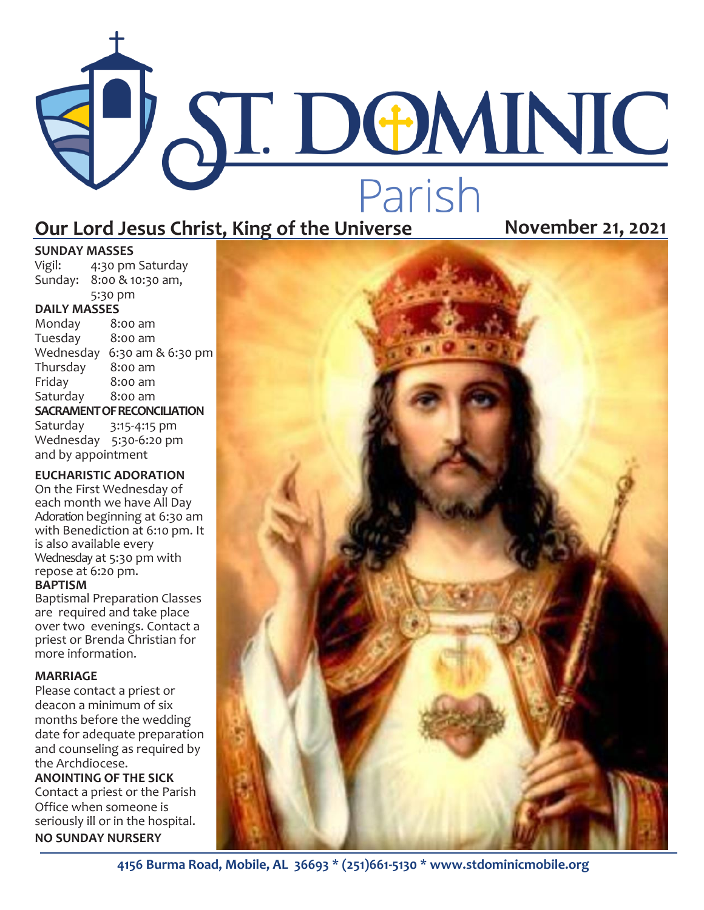# PAT. DOMINIC Parish **Our Lord Jesus Christ, King of the Universe Movember 21, 2021**

**SUNDAY MASSES**<br>Vigil: 4:30 pm 4:30 pm Saturday Sunday: 8:00 & 10:30 am, 5:30 pm

### **DAILY MASSES**

Monday 8:00 am Tuesday 8:00 am Wednesday 6:30 am & 6:30 pm<br>Thursday 8:00 am Thursday Friday 8:00 am Saturday 8:00 am **SACRAMENT OF RECONCILIATION** Saturday 3:15-4:15 pm

Wednesday 5:30-6:20 pm and by appointment

#### **EUCHARISTIC ADORATION**

On the First Wednesday of each month we have All Day Adoration beginning at 6:30 am with Benediction at 6:10 pm. It is also available every Wednesday at 5:30 pm with repose at 6:20 pm. **BAPTISM**

Baptismal Preparation Classes are required and take place over two evenings. Contact a priest or Brenda Christian for more information.

#### **MARRIAGE**

Please contact a priest or deacon a minimum of six months before the wedding date for adequate preparation and counseling as required by the Archdiocese.

**ANOINTING OF THE SICK** Contact a priest or the Parish Office when someone is seriously ill or in the hospital. **NO SUNDAY NURSERY**



**4156 Burma Road, Mobile, AL 36693 \* (251)661-5130 \* www.stdominicmobile.org**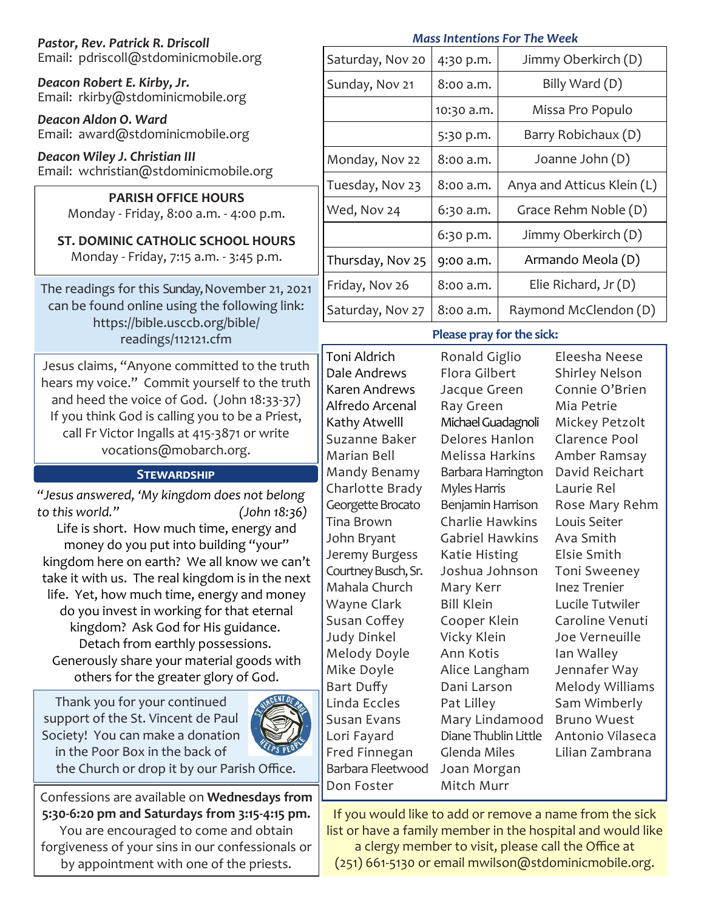| Pastor, Rev. Patrick R. Driscoll                                                                                                                                                                                                                                                                                                                                                                                                                                                                                                                                                                        | <b>Mass Intentions For The Week</b>                                                                                                                                                                                                                                |                                                                                                                                                                                                                                                                               |                            |                                                                                                                                                                                                                                                                |
|---------------------------------------------------------------------------------------------------------------------------------------------------------------------------------------------------------------------------------------------------------------------------------------------------------------------------------------------------------------------------------------------------------------------------------------------------------------------------------------------------------------------------------------------------------------------------------------------------------|--------------------------------------------------------------------------------------------------------------------------------------------------------------------------------------------------------------------------------------------------------------------|-------------------------------------------------------------------------------------------------------------------------------------------------------------------------------------------------------------------------------------------------------------------------------|----------------------------|----------------------------------------------------------------------------------------------------------------------------------------------------------------------------------------------------------------------------------------------------------------|
| Email: pdriscoll@stdominicmobile.org                                                                                                                                                                                                                                                                                                                                                                                                                                                                                                                                                                    | Saturday, Nov 20                                                                                                                                                                                                                                                   | 4:30 p.m.                                                                                                                                                                                                                                                                     |                            | Jimmy Oberkirch (D)                                                                                                                                                                                                                                            |
| Deacon Robert E. Kirby, Jr.<br>Email: rkirby@stdominicmobile.org                                                                                                                                                                                                                                                                                                                                                                                                                                                                                                                                        | Sunday, Nov 21                                                                                                                                                                                                                                                     | 8:00 a.m.                                                                                                                                                                                                                                                                     |                            | Billy Ward (D)                                                                                                                                                                                                                                                 |
| Deacon Aldon O. Ward                                                                                                                                                                                                                                                                                                                                                                                                                                                                                                                                                                                    |                                                                                                                                                                                                                                                                    | 10:30 a.m.                                                                                                                                                                                                                                                                    |                            | Missa Pro Populo                                                                                                                                                                                                                                               |
| Email: award@stdominicmobile.org                                                                                                                                                                                                                                                                                                                                                                                                                                                                                                                                                                        |                                                                                                                                                                                                                                                                    | 5:30 p.m.                                                                                                                                                                                                                                                                     | Barry Robichaux (D)        |                                                                                                                                                                                                                                                                |
| Deacon Wiley J. Christian III                                                                                                                                                                                                                                                                                                                                                                                                                                                                                                                                                                           | Monday, Nov 22                                                                                                                                                                                                                                                     | 8:00 a.m.                                                                                                                                                                                                                                                                     | Joanne John (D)            |                                                                                                                                                                                                                                                                |
| Email: wchristian@stdominicmobile.org<br><b>PARISH OFFICE HOURS</b>                                                                                                                                                                                                                                                                                                                                                                                                                                                                                                                                     | Tuesday, Nov 23                                                                                                                                                                                                                                                    | 8:00 a.m.                                                                                                                                                                                                                                                                     | Anya and Atticus Klein (L) |                                                                                                                                                                                                                                                                |
| Monday - Friday, 8:00 a.m. - 4:00 p.m.                                                                                                                                                                                                                                                                                                                                                                                                                                                                                                                                                                  | Wed, Nov 24                                                                                                                                                                                                                                                        | 6:30 a.m.                                                                                                                                                                                                                                                                     | Grace Rehm Noble (D)       |                                                                                                                                                                                                                                                                |
| <b>ST. DOMINIC CATHOLIC SCHOOL HOURS</b><br>Monday - Friday, 7:15 a.m. - 3:45 p.m.                                                                                                                                                                                                                                                                                                                                                                                                                                                                                                                      |                                                                                                                                                                                                                                                                    | 6:30 p.m.                                                                                                                                                                                                                                                                     | Jimmy Oberkirch (D)        |                                                                                                                                                                                                                                                                |
|                                                                                                                                                                                                                                                                                                                                                                                                                                                                                                                                                                                                         | Thursday, Nov 25                                                                                                                                                                                                                                                   | 9:00 a.m.                                                                                                                                                                                                                                                                     | Armando Meola (D)          |                                                                                                                                                                                                                                                                |
| The readings for this Sunday, November 21, 2021<br>can be found online using the following link:<br>https://bible.usccb.org/bible/<br>readings/112121.cfm<br>Jesus claims, "Anyone committed to the truth<br>hears my voice." Commit yourself to the truth<br>and heed the voice of God. (John 18:33-37)<br>If you think God is calling you to be a Priest,<br>call Fr Victor Ingalls at 415-3871 or write<br>vocations@mobarch.org.                                                                                                                                                                    | Friday, Nov 26                                                                                                                                                                                                                                                     | 8:00 a.m.                                                                                                                                                                                                                                                                     | Elie Richard, Jr (D)       |                                                                                                                                                                                                                                                                |
|                                                                                                                                                                                                                                                                                                                                                                                                                                                                                                                                                                                                         | Saturday, Nov 27                                                                                                                                                                                                                                                   | 8:00 a.m.                                                                                                                                                                                                                                                                     |                            | Raymond McClendon (D)                                                                                                                                                                                                                                          |
|                                                                                                                                                                                                                                                                                                                                                                                                                                                                                                                                                                                                         | Please pray for the sick:                                                                                                                                                                                                                                          |                                                                                                                                                                                                                                                                               |                            |                                                                                                                                                                                                                                                                |
|                                                                                                                                                                                                                                                                                                                                                                                                                                                                                                                                                                                                         | Toni Aldrich<br>Dale Andrews<br>Karen Andrews<br>Alfredo Arcenal<br>Kathy Atwelll                                                                                                                                                                                  | Ronald Giglio<br>Flora Gilbert<br>Jacque Green<br>Ray Green<br>Michael Guadagnoli<br>Delores Hanlon<br>Melissa Harkins                                                                                                                                                        |                            | Eleesha Neese<br><b>Shirley Nelson</b><br>Connie O'Brien<br>Mia Petrie<br>Mickey Petzolt<br>Clarence Pool                                                                                                                                                      |
|                                                                                                                                                                                                                                                                                                                                                                                                                                                                                                                                                                                                         | Suzanne Baker<br>Marian Bell                                                                                                                                                                                                                                       |                                                                                                                                                                                                                                                                               |                            | Amber Ramsay                                                                                                                                                                                                                                                   |
| <b>STEWARDSHIP</b>                                                                                                                                                                                                                                                                                                                                                                                                                                                                                                                                                                                      | Mandy Benamy                                                                                                                                                                                                                                                       | Barbara Harrington                                                                                                                                                                                                                                                            |                            | David Reichart                                                                                                                                                                                                                                                 |
| "Jesus answered, 'My kingdom does not belong<br>to this world."<br>(John 18:36)<br>Life is short. How much time, energy and<br>money do you put into building "your"<br>kingdom here on earth? We all know we can't<br>take it with us. The real kingdom is in the next<br>life. Yet, how much time, energy and money<br>do you invest in working for that eternal<br>kingdom? Ask God for His guidance.<br>Detach from earthly possessions.<br>Generously share your material goods with<br>others for the greater glory of God.<br>Thank you for your continued<br>support of the St. Vincent de Paul | Charlotte Brady<br>Georgette Brocato<br><b>Tina Brown</b><br>John Bryant<br>Jeremy Burgess<br>Courtney Busch, Sr.<br>Mahala Church<br>Wayne Clark<br>Susan Coffey<br>Judy Dinkel<br>Melody Doyle<br>Mike Doyle<br>Bart Duffy<br>Linda Eccles<br><b>Susan Evans</b> | <b>Myles Harris</b><br>Benjamin Harrison<br><b>Charlie Hawkins</b><br><b>Gabriel Hawkins</b><br>Katie Histing<br>Joshua Johnson<br>Mary Kerr<br><b>Bill Klein</b><br>Cooper Klein<br>Vicky Klein<br>Ann Kotis<br>Alice Langham<br>Dani Larson<br>Pat Lilley<br>Mary Lindamood |                            | Laurie Rel<br>Rose Mary Rehm<br>Louis Seiter<br>Ava Smith<br>Elsie Smith<br><b>Toni Sweeney</b><br>Inez Trenier<br>Lucile Tutwiler<br>Caroline Venuti<br>Joe Verneuille<br>Ian Walley<br>Jennafer Way<br>Melody Williams<br>Sam Wimberly<br><b>Bruno Wuest</b> |
| Society! You can make a donation<br>in the Poor Box in the back of<br>the Church or drop it by our Parish Office.                                                                                                                                                                                                                                                                                                                                                                                                                                                                                       | Lori Fayard<br>Fred Finnegan<br>Barbara Fleetwood<br>Don Foster                                                                                                                                                                                                    | Diane Thublin Little<br>Glenda Miles<br>Joan Morgan<br>Mitch Murr                                                                                                                                                                                                             |                            | Antonio Vilaseca<br>Lilian Zambrana                                                                                                                                                                                                                            |
| Confessions are available on Wednesdays from<br>5:30-6:20 pm and Saturdays from 3:15-4:15 pm.                                                                                                                                                                                                                                                                                                                                                                                                                                                                                                           |                                                                                                                                                                                                                                                                    |                                                                                                                                                                                                                                                                               |                            | If you would like to add or remove a name from the sick                                                                                                                                                                                                        |

You are encouraged to come and obtain forgiveness of your sins in our confessionals or by appointment with one of the priests.

a clergy member to visit, please call the Office at (251) 661-5130 or email mwilson@stdominicmobile.org.